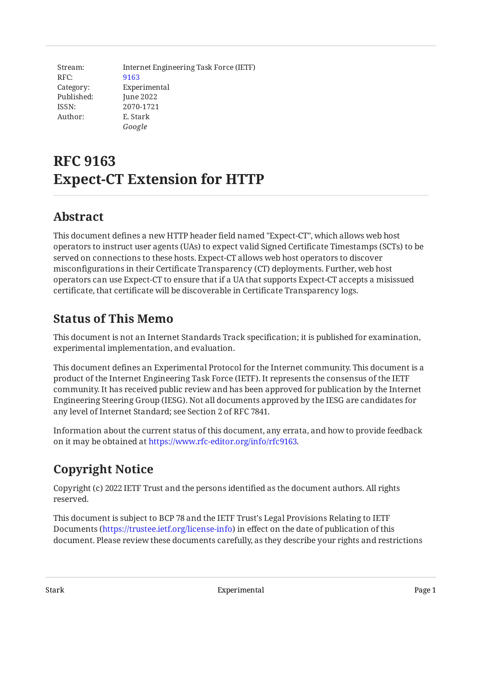Stream: RFC: Category: Published: ISSN: Author: Internet Engineering Task Force (IETF) [9163](https://www.rfc-editor.org/rfc/rfc9163) Experimental June 2022 2070-1721 E. Stark *Google*

# **RFC 9163 Expect-CT Extension for HTTP**

# <span id="page-0-0"></span>**[Abstract](#page-0-0)**

This document defines a new HTTP header field named "Expect-CT", which allows web host operators to instruct user agents (UAs) to expect valid Signed Certificate Timestamps (SCTs) to be served on connections to these hosts. Expect-CT allows web host operators to discover misconfigurations in their Certificate Transparency (CT) deployments. Further, web host operators can use Expect-CT to ensure that if a UA that supports Expect-CT accepts a misissued certificate, that certificate will be discoverable in Certificate Transparency logs.

# <span id="page-0-1"></span>**[Status of This Memo](#page-0-1)**

This document is not an Internet Standards Track specification; it is published for examination, experimental implementation, and evaluation.

This document defines an Experimental Protocol for the Internet community. This document is a product of the Internet Engineering Task Force (IETF). It represents the consensus of the IETF community. It has received public review and has been approved for publication by the Internet Engineering Steering Group (IESG). Not all documents approved by the IESG are candidates for any level of Internet Standard; see Section 2 of RFC 7841.

Information about the current status of this document, any errata, and how to provide feedback on it may be obtained at [https://www.rfc-editor.org/info/rfc9163.](https://www.rfc-editor.org/info/rfc9163)

# <span id="page-0-2"></span>**[Copyright Notice](#page-0-2)**

Copyright (c) 2022 IETF Trust and the persons identified as the document authors. All rights reserved.

This document is subject to BCP 78 and the IETF Trust's Legal Provisions Relating to IETF Documents (<https://trustee.ietf.org/license-info>) in effect on the date of publication of this document. Please review these documents carefully, as they describe your rights and restrictions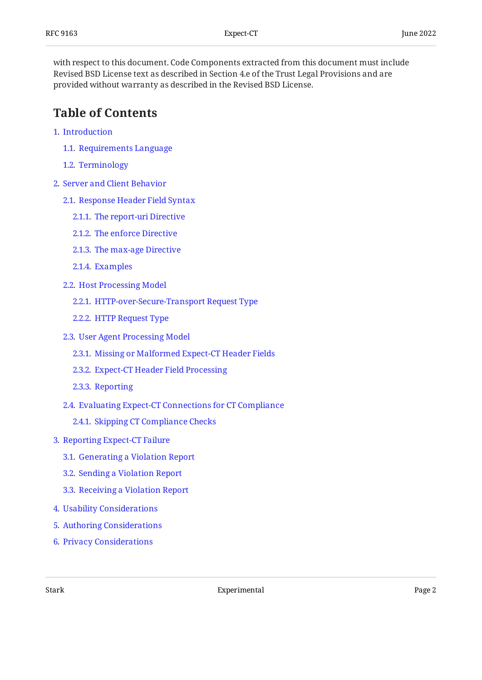with respect to this document. Code Components extracted from this document must include Revised BSD License text as described in Section 4.e of the Trust Legal Provisions and are provided without warranty as described in the Revised BSD License.

## <span id="page-1-0"></span>**[Table of Contents](#page-1-0)**

- [1](#page-2-0). [Introduction](#page-2-0)
	- [1.1.](#page-3-0) [Requirements Language](#page-3-0)
	- [1.2.](#page-3-1) [Terminology](#page-3-1)
- [2](#page-4-0). [Server and Client Behavior](#page-4-0)
	- [2.1.](#page-4-1) [Response Header Field Syntax](#page-4-1)
		- [2.1.1](#page-4-2). [The report-uri Directive](#page-4-2)
		- [2.1.2](#page-5-0). [The enforce Directive](#page-5-0)
		- [2.1.3](#page-5-1). [The max-age Directive](#page-5-1)
		- [2.1.4](#page-6-0). [Examples](#page-6-0)
	- [2.2.](#page-6-1) [Host Processing Model](#page-6-1)
		- [2.2.1](#page-6-2). [HTTP-over-Secure-Transport Request Type](#page-6-2)
		- [2.2.2](#page-6-3). [HTTP Request Type](#page-6-3)
	- [2.3.](#page-6-4) [User Agent Processing Model](#page-6-4)
		- [2.3.1](#page-7-0). [Missing or Malformed Expect-CT Header Fields](#page-7-0)
		- [2.3.2](#page-7-1). [Expect-CT Header Field Processing](#page-7-1)
		- [2.3.3](#page-8-0). [Reporting](#page-8-0)
	- [2.4.](#page-8-1) [Evaluating Expect-CT Connections for CT Compliance](#page-8-1)
		- [2.4.1](#page-9-0). [Skipping CT Compliance Checks](#page-9-0)
- [3](#page-9-1). [Reporting Expect-CT Failure](#page-9-1)
	- [3.1.](#page-9-2) [Generating a Violation Report](#page-9-2)
	- [3.2.](#page-11-0) [Sending a Violation Report](#page-11-0)
	- [3.3.](#page-12-0) [Receiving a Violation Report](#page-12-0)
- [4](#page-12-1). [Usability Considerations](#page-12-1)
- [5](#page-12-2). [Authoring Considerations](#page-12-2)
- [6](#page-13-0). [Privacy Considerations](#page-13-0)

Stark **Experimental** Page 2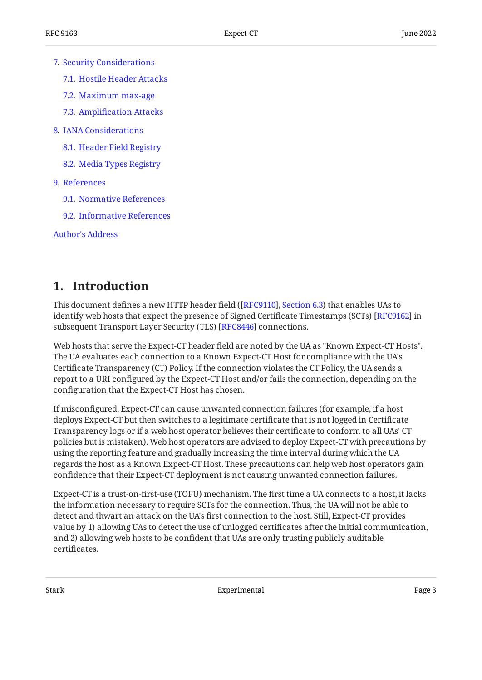- [7](#page-13-1). [Security Considerations](#page-13-1)
	- [7.1.](#page-13-2) [Hostile Header Attacks](#page-13-2)
	- [7.2.](#page-14-0) [Maximum max-age](#page-14-0)
	- [7.3.](#page-14-1) Amplifi[cation Attacks](#page-14-1)
- [8](#page-14-2). [IANA Considerations](#page-14-2)
	- [8.1.](#page-14-3) [Header Field Registry](#page-14-3)
	- [8.2.](#page-14-4) [Media Types Registry](#page-14-4)
- [9](#page-15-0). [References](#page-15-0)
	- [9.1.](#page-15-1) [Normative References](#page-15-1)
	- [9.2.](#page-17-0) [Informative References](#page-17-0)

[Author's Address](#page-17-1)

## <span id="page-2-0"></span>**[1. Introduction](#page-2-0)**

This document defines a new HTTP header field ([[RFC9110\]](#page-16-0), [Section 6.3](https://www.rfc-editor.org/rfc/rfc9110#section-6.3)) that enables UAs to identify web hosts that expect the presence of Signed Certificate Timestamps (SCTs) [RFC9162] in subsequent Transport Layer Security (TLS) [[RFC8446\]](#page-17-3) connections.

Web hosts that serve the Expect-CT header field are noted by the UA as "Known Expect-CT Hosts". The UA evaluates each connection to a Known Expect-CT Host for compliance with the UA's Certificate Transparency (CT) Policy. If the connection violates the CT Policy, the UA sends a report to a URI configured by the Expect-CT Host and/or fails the connection, depending on the configuration that the Expect-CT Host has chosen.

If misconfigured, Expect-CT can cause unwanted connection failures (for example, if a host deploys Expect-CT but then switches to a legitimate certificate that is not logged in Certificate Transparency logs or if a web host operator believes their certificate to conform to all UAs' CT policies but is mistaken). Web host operators are advised to deploy Expect-CT with precautions by using the reporting feature and gradually increasing the time interval during which the UA regards the host as a Known Expect-CT Host. These precautions can help web host operators gain confidence that their Expect-CT deployment is not causing unwanted connection failures.

Expect-CT is a trust-on-first-use (TOFU) mechanism. The first time a UA connects to a host, it lacks the information necessary to require SCTs for the connection. Thus, the UA will not be able to detect and thwart an attack on the UA's first connection to the host. Still, Expect-CT provides value by 1) allowing UAs to detect the use of unlogged certificates after the initial communication, and 2) allowing web hosts to be confident that UAs are only trusting publicly auditable certificates.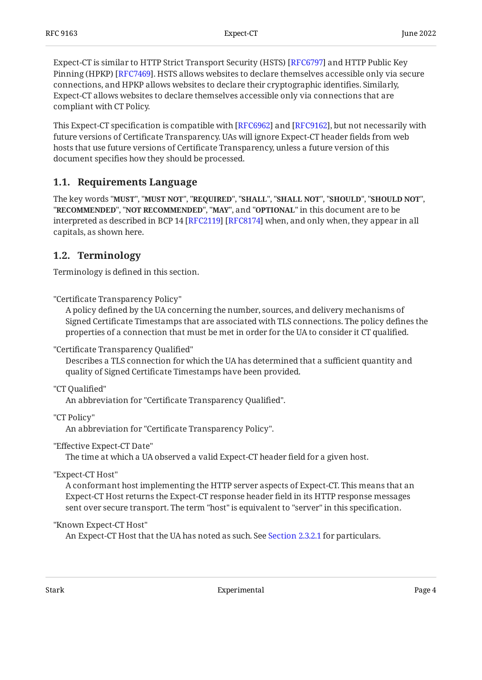Expect-CT is similar to HTTP Strict Transport Security (HSTS) [RFC6797] and HTTP Public Key Pinning (HPKP) [RFC7469]. HSTS allows websites to declare themselves accessible only via secure connections, and HPKP allows websites to declare their cryptographic identifies. Similarly, Expect-CT allows websites to declare themselves accessible only via connections that are compliant with CT Policy.

This Expect-CT specification is compatible with [RFC6962] and [RFC9162], but not necessarily with future versions of Certificate Transparency. UAs will ignore Expect-CT header fields from web hosts that use future versions of Certificate Transparency, unless a future version of this document specifies how they should be processed.

### <span id="page-3-0"></span>**[1.1. Requirements Language](#page-3-0)**

The key words "MUST", "MUST NOT", "REQUIRED", "SHALL", "SHALL NOT", "SHOULD", "SHOULD NOT", "**RECOMMENDED", "NOT RECOMMENDED", "MAY",** and "OPTIONAL" in this document are to be interpreted as described in BCP 14 [RFC2119] [RFC8174] when, and only when, they appear in all capitals, as shown here.

### <span id="page-3-1"></span>**[1.2. Terminology](#page-3-1)**

Terminology is defined in this section.

"Certificate Transparency Policy"

A policy defined by the UA concerning the number, sources, and delivery mechanisms of Signed Certificate Timestamps that are associated with TLS connections. The policy defines the properties of a connection that must be met in order for the UA to consider it CT qualified.

"Certificate Transparency Qualified"

Describes a TLS connection for which the UA has determined that a sufficient quantity and quality of Signed Certificate Timestamps have been provided.

"CT Qualified"

An abbreviation for "Certificate Transparency Qualified".

"CT Policy"

An abbreviation for "Certificate Transparency Policy".

"Effective Expect-CT Date"

The time at which a UA observed a valid Expect-CT header field for a given host.

"Expect-CT Host"

A conformant host implementing the HTTP server aspects of Expect-CT. This means that an Expect-CT Host returns the Expect-CT response header field in its HTTP response messages sent over secure transport. The term "host" is equivalent to "server" in this specification.

#### "Known Expect-CT Host"

An Expect-CT Host that the UA has noted as such. See [Section 2.3.2.1](#page-7-2) for particulars.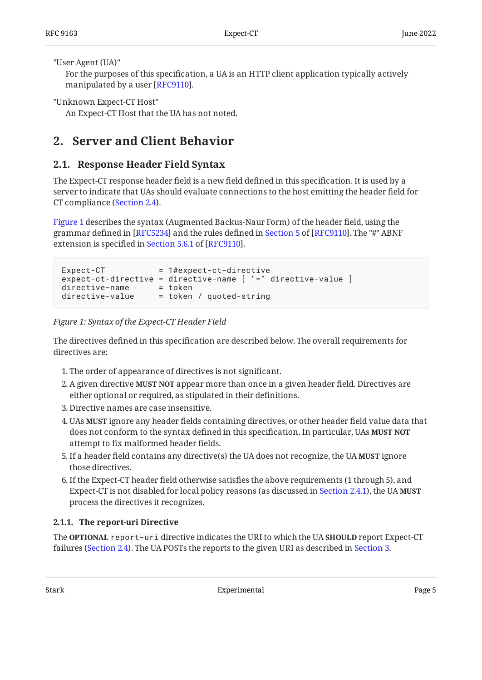"User Agent (UA)"

For the purposes of this specification, a UA is an HTTP client application typically actively manipulated by a user [RFC9110].

"Unknown Expect-CT Host"

<span id="page-4-0"></span>An Expect-CT Host that the UA has not noted.

## <span id="page-4-1"></span>**[2. Server and Client Behavior](#page-4-0)**

## **[2.1. Response Header Field Syntax](#page-4-1)**

The Expect-CT response header field is a new field defined in this specification. It is used by a server to indicate that UAs should evaluate connections to the host emitting the header field for CT compliance [\(Section 2.4](#page-8-1)).

[Figure 1](#page-4-3) describes the syntax (Augmented Backus-Naur Form) of the header field, using the grammardefined in [[RFC5234\]](#page-16-5) and the rules defined in Section 5 of [RFC9110]. The "#" ABNF extensionis specified in Section 5.6.1 of [RFC9110].

```
Expected-CT = 1#expect-ct-directiveexpect-ct-directive = directive-name [ "=" directive-value ]
directive-name = token
directive-value = token / quoted-string
```
*[Figure 1: Syntax of the Expect-CT Header Field](#page-4-3)* 

The directives defined in this specification are described below. The overall requirements for directives are:

- 1. The order of appearance of directives is not significant.
- 2. A given directive **MUST NOT** appear more than once in a given header field. Directives are either optional or required, as stipulated in their definitions.
- 3. Directive names are case insensitive.
- UAs ignore any header fields containing directives, or other header field value data that 4. **MUST** does not conform to the syntax defined in this specification. In particular, UAs **MUST NOT** attempt to fix malformed header fields.
- 5. If a header field contains any directive(s) the UA does not recognize, the UA **MUST** ignore those directives.
- 6. If the Expect-CT header field otherwise satisfies the above requirements (1 through 5), and Expect-CT is not disabled for local policy reasons (as discussed in [Section 2.4.1\)](#page-9-0), the UA **MUST** process the directives it recognizes.

### <span id="page-4-2"></span>**[2.1.1. The report-uri Directive](#page-4-2)**

The <code>OPTIONAL</code> <code>report-uri directive</code> indicates the URI to which the UA <code>SHOULD</code> report Expect-CT failures ([Section 2.4](#page-8-1)). The UA POSTs the reports to the given URI as described in [Section 3.](#page-9-1)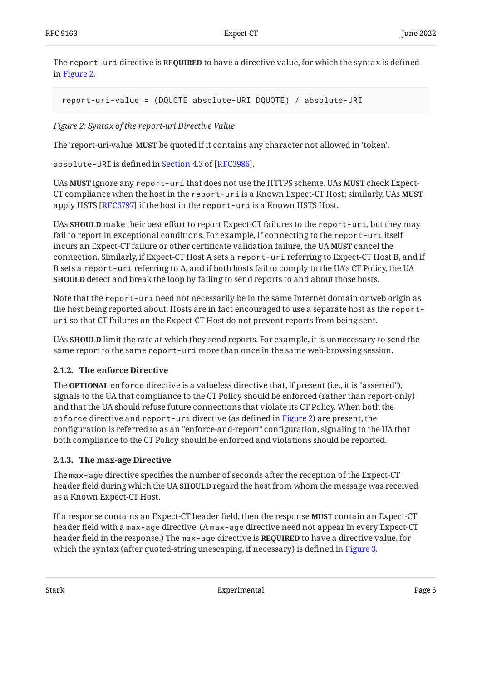The <code>report-uri</code> directive is <code>REQUIRED</code> to have a directive value, for which the syntax is defined in [Figure 2.](#page-5-2)

```
report-uri-value = (DQUOTE absolute-URI DQUOTE) / absolute-URI
```
*[Figure 2: Syntax of the report-uri Directive Value](#page-5-2)* 

The 'report-uri-value' **MUST** be quoted if it contains any character not allowed in 'token'.

absolute-URIis defined in Section 4.3 of [RFC3986].

UAs MUST ignore any <code>report-uri</code> that does not use the HTTPS scheme. UAs MUST check Expect-CT compliance when the host in the report-uri is a Known Expect-CT Host; similarly, UAs **MUST** apply HSTS [RFC6797] if the host in the <code>report-uri</code> is a Known HSTS Host.

UAs **SHOULD** make their best effort to report Expect-CT failures to the <code>report-uri,</code> but they may fail to report in exceptional conditions. For example, if connecting to the report-uri itself incurs an Expect-CT failure or other certificate validation failure, the UA **MUST** cancel the connection. Similarly, if Expect-CT Host A sets a report-uri referring to Expect-CT Host B, and if B sets a report-uri referring to A, and if both hosts fail to comply to the UA's CT Policy, the UA **SHOULD** detect and break the loop by failing to send reports to and about those hosts.

Note that the report-uri need not necessarily be in the same Internet domain or web origin as the host being reported about. Hosts are in fact encouraged to use a separate host as the reporturi so that CT failures on the Expect-CT Host do not prevent reports from being sent.

UAs **SHOULD** limit the rate at which they send reports. For example, it is unnecessary to send the same report to the same report-uri more than once in the same web-browsing session.

#### <span id="page-5-0"></span>**[2.1.2. The enforce Directive](#page-5-0)**

The **OPTIONAL** enforce directive is a valueless directive that, if present (i.e., it is "asserted"), signals to the UA that compliance to the CT Policy should be enforced (rather than report-only) and that the UA should refuse future connections that violate its CT Policy. When both the enforce directive and report-uri directive (as defined in [Figure 2\)](#page-5-2) are present, the configuration is referred to as an "enforce-and-report" configuration, signaling to the UA that both compliance to the CT Policy should be enforced and violations should be reported.

#### <span id="page-5-1"></span>**[2.1.3. The max-age Directive](#page-5-1)**

The max-age directive specifies the number of seconds after the reception of the Expect-CT header field during which the UA **SHOULD** regard the host from whom the message was received as a Known Expect-CT Host.

If a response contains an Expect-CT header field, then the response **MUST** contain an Expect-CT header field with a max-age directive. (A max-age directive need not appear in every Expect-CT header field in the response.) The max-age directive is **REQUIRED** to have a directive value, for which the syntax (after quoted-string unescaping, if necessary) is defined in [Figure 3.](#page-6-5)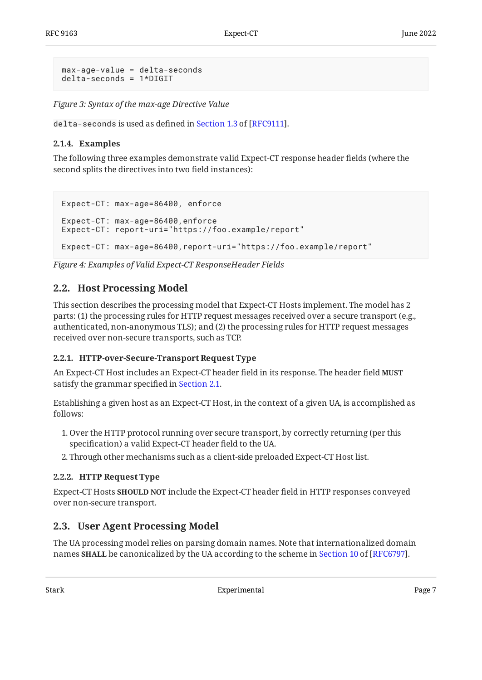```
max-age-value = delta-seconds
delta-seconds = 1*DIGIT
```
*[Figure 3: Syntax of the max-age Directive Value](#page-6-5)* 

<span id="page-6-0"></span>delta-secondsis used as defined in Section 1.3 of [RFC9111].

#### **[2.1.4. Examples](#page-6-0)**

The following three examples demonstrate valid Expect-CT response header fields (where the second splits the directives into two field instances):

```
Expect-CT: max-age=86400, enforce
Expect-CT: max-age=86400,enforce
Expect-CT: report-uri="https://foo.example/report"
Expect-CT: max-age=86400,report-uri="https://foo.example/report"
```
<span id="page-6-1"></span>*[Figure 4: Examples of Valid Expect-CT ResponseHeader Fields](#page-6-6)* 

### **[2.2. Host Processing Model](#page-6-1)**

This section describes the processing model that Expect-CT Hosts implement. The model has 2 parts: (1) the processing rules for HTTP request messages received over a secure transport (e.g., authenticated, non-anonymous TLS); and (2) the processing rules for HTTP request messages received over non-secure transports, such as TCP.

#### <span id="page-6-2"></span>**[2.2.1. HTTP-over-Secure-Transport Request Type](#page-6-2)**

An Expect-CT Host includes an Expect-CT header field in its response. The header field **MUST** satisfy the grammar specified in [Section 2.1](#page-4-1).

Establishing a given host as an Expect-CT Host, in the context of a given UA, is accomplished as follows:

- 1. Over the HTTP protocol running over secure transport, by correctly returning (per this specification) a valid Expect-CT header field to the UA.
- <span id="page-6-3"></span>2. Through other mechanisms such as a client-side preloaded Expect-CT Host list.

#### **[2.2.2. HTTP Request Type](#page-6-3)**

Expect-CT Hosts **SHOULD NOT** include the Expect-CT header field in HTTP responses conveyed over non-secure transport.

## <span id="page-6-4"></span>**[2.3. User Agent Processing Model](#page-6-4)**

The UA processing model relies on parsing domain names. Note that internationalized domain names **SHALL** be canonicalized by the UA according to the scheme in [Section 10](https://www.rfc-editor.org/rfc/rfc6797#section-10) of [\[RFC6797](#page-16-1)].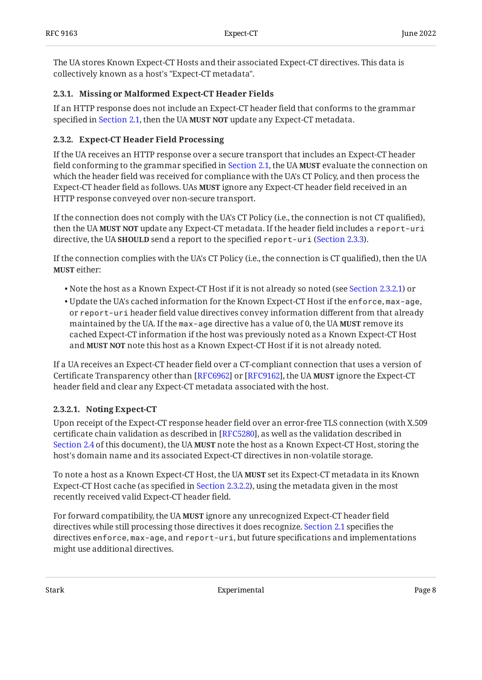The UA stores Known Expect-CT Hosts and their associated Expect-CT directives. This data is collectively known as a host's "Expect-CT metadata".

#### <span id="page-7-0"></span>**[2.3.1. Missing or Malformed Expect-CT Header Fields](#page-7-0)**

If an HTTP response does not include an Expect-CT header field that conforms to the grammar specified in [Section 2.1](#page-4-1), then the UA MUST NOT update any Expect-CT metadata.

#### <span id="page-7-1"></span>**[2.3.2. Expect-CT Header Field Processing](#page-7-1)**

If the UA receives an HTTP response over a secure transport that includes an Expect-CT header field conforming to the grammar specified in [Section 2.1](#page-4-1), the UA **MUST** evaluate the connection on which the header field was received for compliance with the UA's CT Policy, and then process the Expect-CT header field as follows. UAs **MUST** ignore any Expect-CT header field received in an HTTP response conveyed over non-secure transport.

If the connection does not comply with the UA's CT Policy (i.e., the connection is not CT qualified), then the UA **MUST NOT** update any Expect-CT metadata. If the header field includes a <code>report-uri</code> directive, the UA **SHOULD** send a report to the specified report-uri [\(Section 2.3.3](#page-8-0)).

If the connection complies with the UA's CT Policy (i.e., the connection is CT qualified), then the UA **MUST** either:

- $\bullet$  Note the host as a Known Expect-CT Host if it is not already so noted (see [Section 2.3.2.1\)](#page-7-2) or
- Update the UA's cached information for the Known Expect-CT Host if the enforce, max-age, or report-uri header field value directives convey information different from that already maintained by the UA. If the max-age directive has a value of 0, the UA **MUST** remove its cached Expect-CT information if the host was previously noted as a Known Expect-CT Host and MUST NOT note this host as a Known Expect-CT Host if it is not already noted.

If a UA receives an Expect-CT header field over a CT-compliant connection that uses a version of Certificate Transparency other than [RFC6962] or [RFC9162], the UA **MUST** ignore the Expect-CT header field and clear any Expect-CT metadata associated with the host.

#### <span id="page-7-2"></span>**[2.3.2.1. Noting Expect-CT](#page-7-2)**

Upon receipt of the Expect-CT response header field over an error-free TLS connection (with X.509 certificate chain validation as described in [RFC5280], as well as the validation described in [Section 2.4](#page-8-1) of this document), the UA MUST note the host as a Known Expect-CT Host, storing the host's domain name and its associated Expect-CT directives in non-volatile storage.

To note a host as a Known Expect-CT Host, the UA **MUST** set its Expect-CT metadata in its Known Expect-CT Host cache (as specified in [Section 2.3.2.2](#page-8-2)), using the metadata given in the most recently received valid Expect-CT header field.

For forward compatibility, the UA **MUST** ignore any unrecognized Expect-CT header field directives while still processing those directives it does recognize. [Section 2.1](#page-4-1) specifies the directives enforce, max-age, and report-uri, but future specifications and implementations might use additional directives.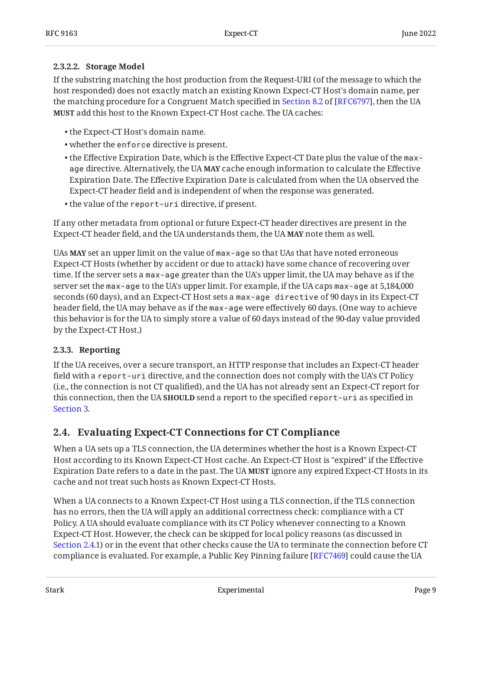#### <span id="page-8-2"></span>**[2.3.2.2. Storage Model](#page-8-2)**

If the substring matching the host production from the Request-URI (of the message to which the host responded) does not exactly match an existing Known Expect-CT Host's domain name, per thematching procedure for a Congruent Match specified in Section 8.2 of [RFC6797], then the UA  $\,$ **MUST** add this host to the Known Expect-CT Host cache. The UA caches:

- the Expect-CT Host's domain name. •
- whether the enforce directive is present. •
- $\bullet$  the Effective Expiration Date, which is the Effective Expect-CT Date plus the value of the <code>max-</code> age directive. Alternatively, the UA **MAY** cache enough information to calculate the Effective Expiration Date. The Effective Expiration Date is calculated from when the UA observed the Expect-CT header field and is independent of when the response was generated.
- the value of the report-uri directive, if present.

If any other metadata from optional or future Expect-CT header directives are present in the Expect-CT header field, and the UA understands them, the UA **MAY** note them as well.

UAs **MAY** set an upper limit on the value of max-age so that UAs that have noted erroneous Expect-CT Hosts (whether by accident or due to attack) have some chance of recovering over time. If the server sets a max-age greater than the UA's upper limit, the UA may behave as if the server set the max-age to the UA's upper limit. For example, if the UA caps max-age at 5,184,000 seconds (60 days), and an Expect-CT Host sets a max-age directive of 90 days in its Expect-CT header field, the UA may behave as if the max-age were effectively 60 days. (One way to achieve this behavior is for the UA to simply store a value of 60 days instead of the 90-day value provided by the Expect-CT Host.)

#### <span id="page-8-0"></span>**[2.3.3. Reporting](#page-8-0)**

If the UA receives, over a secure transport, an HTTP response that includes an Expect-CT header field with a report-uri directive, and the connection does not comply with the UA's CT Policy (i.e., the connection is not CT qualified), and the UA has not already sent an Expect-CT report for this connection, then the UA **SHOULD** send a report to the specified report-uri as specified in [Section 3.](#page-9-1)

### <span id="page-8-1"></span>**[2.4. Evaluating Expect-CT Connections for CT Compliance](#page-8-1)**

When a UA sets up a TLS connection, the UA determines whether the host is a Known Expect-CT Host according to its Known Expect-CT Host cache. An Expect-CT Host is "expired" if the Effective Expiration Date refers to a date in the past. The UA **MUST** ignore any expired Expect-CT Hosts in its cache and not treat such hosts as Known Expect-CT Hosts.

When a UA connects to a Known Expect-CT Host using a TLS connection, if the TLS connection has no errors, then the UA will apply an additional correctness check: compliance with a CT Policy. A UA should evaluate compliance with its CT Policy whenever connecting to a Known Expect-CT Host. However, the check can be skipped for local policy reasons (as discussed in [Section 2.4.1\)](#page-9-0) or in the event that other checks cause the UA to terminate the connection before CT compliance is evaluated. For example, a Public Key Pinning failure [RFC7469] could cause the UA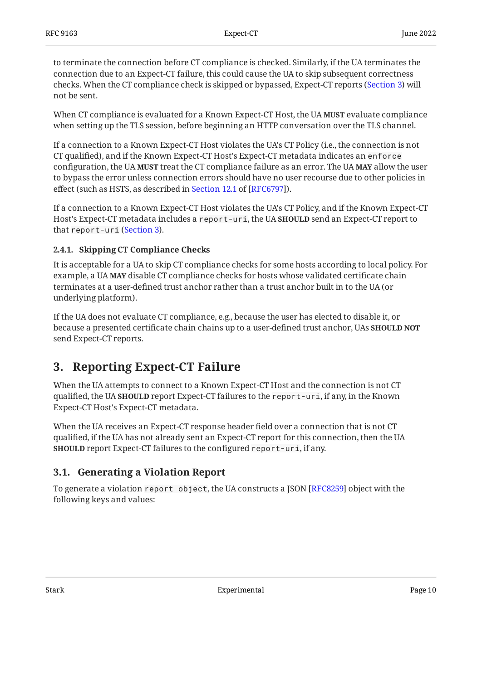to terminate the connection before CT compliance is checked. Similarly, if the UA terminates the connection due to an Expect-CT failure, this could cause the UA to skip subsequent correctness checks. When the CT compliance check is skipped or bypassed, Expect-CT reports ([Section 3\)](#page-9-1) will not be sent.

When CT compliance is evaluated for a Known Expect-CT Host, the UA **MUST** evaluate compliance when setting up the TLS session, before beginning an HTTP conversation over the TLS channel.

If a connection to a Known Expect-CT Host violates the UA's CT Policy (i.e., the connection is not CT qualified), and if the Known Expect-CT Host's Expect-CT metadata indicates an enforce configuration, the UA **MUST** treat the CT compliance failure as an error. The UA **MAY** allow the user to bypass the error unless connection errors should have no user recourse due to other policies in effect(such as HSTS, as described in Section 12.1 of [RFC6797]).

If a connection to a Known Expect-CT Host violates the UA's CT Policy, and if the Known Expect-CT Host's Expect-CT metadata includes a report-uri, the UA **SHOULD** send an Expect-CT report to that report-uri ([Section 3\)](#page-9-1).

#### <span id="page-9-0"></span>**[2.4.1. Skipping CT Compliance Checks](#page-9-0)**

It is acceptable for a UA to skip CT compliance checks for some hosts according to local policy. For example, a UA **MAY** disable CT compliance checks for hosts whose validated certificate chain terminates at a user-defined trust anchor rather than a trust anchor built in to the UA (or underlying platform).

If the UA does not evaluate CT compliance, e.g., because the user has elected to disable it, or because a presented certificate chain chains up to a user-defined trust anchor, UAs **SHOULD NOT** send Expect-CT reports.

## <span id="page-9-1"></span>**[3. Reporting Expect-CT Failure](#page-9-1)**

When the UA attempts to connect to a Known Expect-CT Host and the connection is not CT qualified, the UA **SHOULD** report Expect-CT failures to the <code>report-uri,</code> if any, in the Known Expect-CT Host's Expect-CT metadata.

When the UA receives an Expect-CT response header field over a connection that is not CT qualified, if the UA has not already sent an Expect-CT report for this connection, then the UA **SHOULD** report Expect-CT failures to the configured <code>report-uri,</code> if any.

## <span id="page-9-2"></span>**[3.1. Generating a Violation Report](#page-9-2)**

To generate a violation <code>report object</code>, the UA constructs a JSON [RFC8259] object with the following keys and values: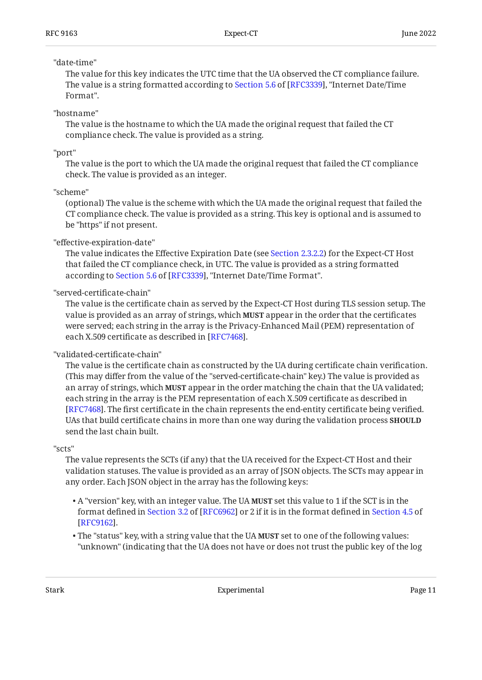#### "date-time"

The value for this key indicates the UTC time that the UA observed the CT compliance failure. Thevalue is a string formatted according to Section 5.6 of [RFC3339], "Internet Date/Time Format".

#### "hostname"

The value is the hostname to which the UA made the original request that failed the CT compliance check. The value is provided as a string.

"port"

The value is the port to which the UA made the original request that failed the CT compliance check. The value is provided as an integer.

#### "scheme"

(optional) The value is the scheme with which the UA made the original request that failed the CT compliance check. The value is provided as a string. This key is optional and is assumed to be "https" if not present.

#### "effective-expiration-date"

The value indicates the Effective Expiration Date (see [Section 2.3.2.2](#page-8-2)) for the Expect-CT Host that failed the CT compliance check, in UTC. The value is provided as a string formatted accordingto Section 5.6 of [RFC3339], "Internet Date/Time Format".

#### "served-certificate-chain"

The value is the certificate chain as served by the Expect-CT Host during TLS session setup. The value is provided as an array of strings, which **MUST** appear in the order that the certificates were served; each string in the array is the Privacy-Enhanced Mail (PEM) representation of each X.509 certificate as described in [RFC7468].

#### "validated-certificate-chain"

The value is the certificate chain as constructed by the UA during certificate chain verification. (This may differ from the value of the "served-certificate-chain" key.) The value is provided as an array of strings, which **MUST** appear in the order matching the chain that the UA validated; each string in the array is the PEM representation of each X.509 certificate as described in . The first certificate in the chain represents the end-entity certificate being verified. [[RFC7468\]](#page-16-10) UAs that build certificate chains in more than one way during the validation process **SHOULD** send the last chain built.

#### "scts"

The value represents the SCTs (if any) that the UA received for the Expect-CT Host and their validation statuses. The value is provided as an array of JSON objects. The SCTs may appear in any order. Each JSON object in the array has the following keys:

- A "version" key, with an integer value. The UA **MUST** set this value to 1 if the SCT is in the formatdefined in Section 3.2 of [RFC6962] or 2 if it is in the format defined in [Section 4.5](https://www.rfc-editor.org/rfc/rfc9162#section-4.5) of . [[RFC9162\]](#page-17-2)
- The "status" key, with a string value that the UA **MUST** set to one of the following values: "unknown" (indicating that the UA does not have or does not trust the public key of the log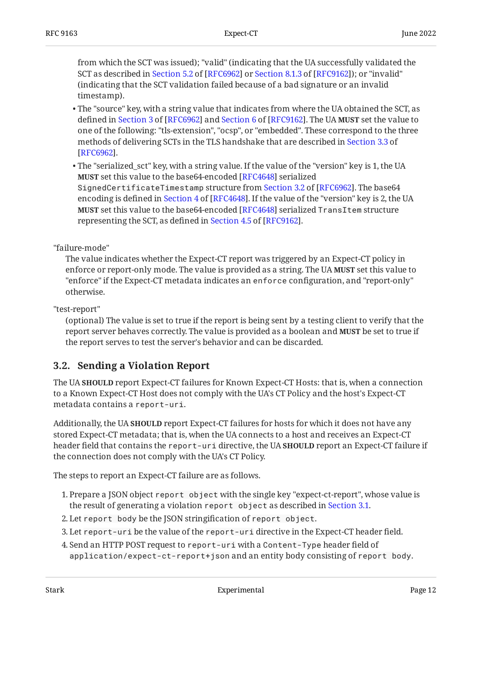from which the SCT was issued); "valid" (indicating that the UA successfully validated the SCTas described in Section 5.2 of [RFC6962] or Section 8.1.3 of [RFC9162]); or "invalid" (indicating that the SCT validation failed because of a bad signature or an invalid timestamp).

- The "source" key, with a string value that indicates from where the UA obtained the SCT, as definedin Section 3 of [RFC6962] and Section 6 of [RFC9162]. The UA **MUST** set the value to one of the following: "tls-extension", "ocsp", or "embedded". These correspond to the three methods of delivering SCTs in the TLS handshake that are described in [Section 3.3](https://www.rfc-editor.org/rfc/rfc6962#section-3.3) of . [[RFC6962\]](#page-16-3)
- $\bullet$  The "serialized\_sct" key, with a string value. If the value of the "version" key is 1, the UA  $\,$ **MUST** set this value to the base64-encoded [RFC4648] serialized SignedCertificateTimestampstructure from Section 3.2 of [RFC6962]. The base64 encodingis defined in Section 4 of [RFC4648]. If the value of the "version" key is 2, the UA  $\,$ **MUST** set this value to the base64-encoded [RFC4648] serialized <code>TransItem</code> structure representingthe SCT, as defined in Section 4.5 of [RFC9162].

#### "failure-mode"

The value indicates whether the Expect-CT report was triggered by an Expect-CT policy in enforce or report-only mode. The value is provided as a string. The UA **MUST** set this value to "enforce" if the Expect-CT metadata indicates an enforce configuration, and "report-only" otherwise.

"test-report"

(optional) The value is set to true if the report is being sent by a testing client to verify that the report server behaves correctly. The value is provided as a boolean and **MUST** be set to true if the report serves to test the server's behavior and can be discarded.

### <span id="page-11-0"></span>**[3.2. Sending a Violation Report](#page-11-0)**

The UA **SHOULD** report Expect-CT failures for Known Expect-CT Hosts: that is, when a connection to a Known Expect-CT Host does not comply with the UA's CT Policy and the host's Expect-CT metadata contains a report-uri.

Additionally, the UA **SHOULD** report Expect-CT failures for hosts for which it does not have any stored Expect-CT metadata; that is, when the UA connects to a host and receives an Expect-CT header field that contains the <code>report-uri</code> directive, the UA <code>SHOULD</code> report an Expect-CT failure if the connection does not comply with the UA's CT Policy.

The steps to report an Expect-CT failure are as follows.

- 1. Prepare a JSON object <code>report object</code> with the single key "expect-ct-report", whose value is the result of generating a violation report object as described in [Section 3.1](#page-9-2).
- Let report body be the JSON stringification of report object. 2.
- Let report-uri be the value of the report-uri directive in the Expect-CT header field. 3.
- 4. Send an HTTP POST request to <code>report-uri</code> with a <code>Content-Type</code> header field of application/expect-ct-report+json and an entity body consisting of report body.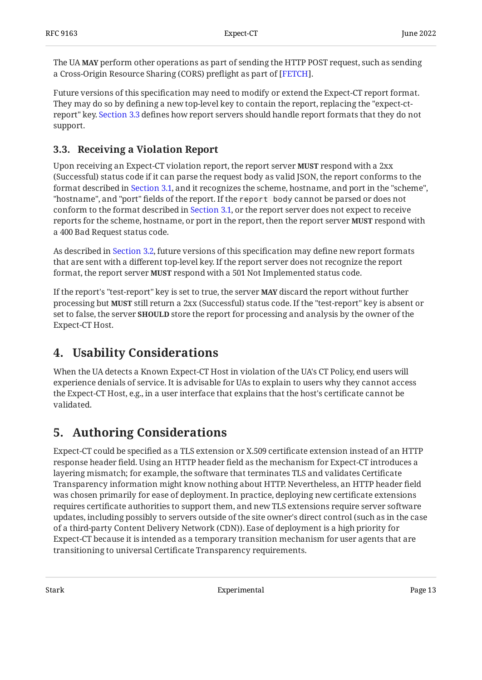The UA **MAY** perform other operations as part of sending the HTTP POST request, such as sending a Cross-Origin Resource Sharing (CORS) preflight as part of [FETCH].

Future versions of this specification may need to modify or extend the Expect-CT report format. They may do so by defining a new top-level key to contain the report, replacing the "expect-ctreport" key. [Section 3.3](#page-12-0) defines how report servers should handle report formats that they do not support.

## <span id="page-12-0"></span>**[3.3. Receiving a Violation Report](#page-12-0)**

Upon receiving an Expect-CT violation report, the report server **MUST** respond with a 2xx (Successful) status code if it can parse the request body as valid JSON, the report conforms to the format described in [Section 3.1](#page-9-2), and it recognizes the scheme, hostname, and port in the "scheme", "hostname", and "port" fields of the report. If the report body cannot be parsed or does not conform to the format described in [Section 3.1](#page-9-2), or the report server does not expect to receive reports for the scheme, hostname, or port in the report, then the report server **MUST** respond with a 400 Bad Request status code.

As described in [Section 3.2](#page-11-0), future versions of this specification may define new report formats that are sent with a different top-level key. If the report server does not recognize the report format, the report server **MUST** respond with a 501 Not Implemented status code.

If the report's "test-report" key is set to true, the server **MAY** discard the report without further processing but **MUST** still return a 2xx (Successful) status code. If the "test-report" key is absent or set to false, the server **SHOULD** store the report for processing and analysis by the owner of the Expect-CT Host.

## <span id="page-12-1"></span>**[4. Usability Considerations](#page-12-1)**

When the UA detects a Known Expect-CT Host in violation of the UA's CT Policy, end users will experience denials of service. It is advisable for UAs to explain to users why they cannot access the Expect-CT Host, e.g., in a user interface that explains that the host's certificate cannot be validated.

# <span id="page-12-2"></span>**[5. Authoring Considerations](#page-12-2)**

Expect-CT could be specified as a TLS extension or X.509 certificate extension instead of an HTTP response header field. Using an HTTP header field as the mechanism for Expect-CT introduces a layering mismatch; for example, the software that terminates TLS and validates Certificate Transparency information might know nothing about HTTP. Nevertheless, an HTTP header field was chosen primarily for ease of deployment. In practice, deploying new certificate extensions requires certificate authorities to support them, and new TLS extensions require server software updates, including possibly to servers outside of the site owner's direct control (such as in the case of a third-party Content Delivery Network (CDN)). Ease of deployment is a high priority for Expect-CT because it is intended as a temporary transition mechanism for user agents that are transitioning to universal Certificate Transparency requirements.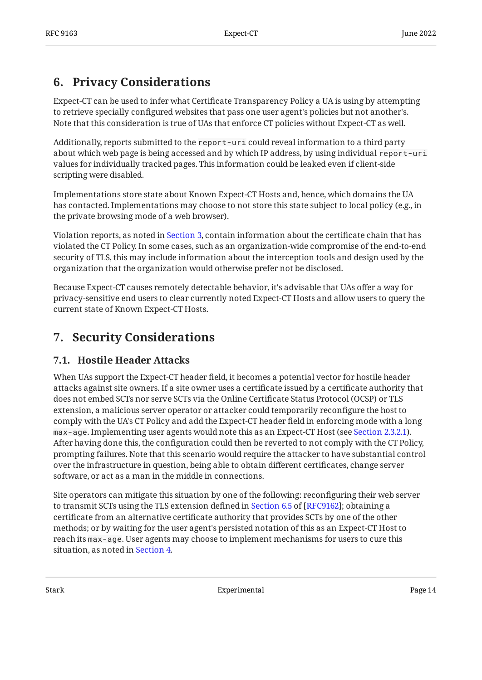## <span id="page-13-0"></span>**[6. Privacy Considerations](#page-13-0)**

Expect-CT can be used to infer what Certificate Transparency Policy a UA is using by attempting to retrieve specially configured websites that pass one user agent's policies but not another's. Note that this consideration is true of UAs that enforce CT policies without Expect-CT as well.

Additionally, reports submitted to the report-uri could reveal information to a third party about which web page is being accessed and by which IP address, by using individual report-uri values for individually tracked pages. This information could be leaked even if client-side scripting were disabled.

Implementations store state about Known Expect-CT Hosts and, hence, which domains the UA has contacted. Implementations may choose to not store this state subject to local policy (e.g., in the private browsing mode of a web browser).

Violation reports, as noted in [Section 3,](#page-9-1) contain information about the certificate chain that has violated the CT Policy. In some cases, such as an organization-wide compromise of the end-to-end security of TLS, this may include information about the interception tools and design used by the organization that the organization would otherwise prefer not be disclosed.

Because Expect-CT causes remotely detectable behavior, it's advisable that UAs offer a way for privacy-sensitive end users to clear currently noted Expect-CT Hosts and allow users to query the current state of Known Expect-CT Hosts.

## <span id="page-13-2"></span><span id="page-13-1"></span>**[7. Security Considerations](#page-13-1)**

## **[7.1. Hostile Header Attacks](#page-13-2)**

When UAs support the Expect-CT header field, it becomes a potential vector for hostile header attacks against site owners. If a site owner uses a certificate issued by a certificate authority that does not embed SCTs nor serve SCTs via the Online Certificate Status Protocol (OCSP) or TLS extension, a malicious server operator or attacker could temporarily reconfigure the host to comply with the UA's CT Policy and add the Expect-CT header field in enforcing mode with a long max-age. Implementing user agents would note this as an Expect-CT Host (see [Section 2.3.2.1](#page-7-2)). After having done this, the configuration could then be reverted to not comply with the CT Policy, prompting failures. Note that this scenario would require the attacker to have substantial control over the infrastructure in question, being able to obtain different certificates, change server software, or act as a man in the middle in connections.

Site operators can mitigate this situation by one of the following: reconfiguring their web server totransmit SCTs using the TLS extension defined in Section 6.5 of [RFC9162]; obtaining a certificate from an alternative certificate authority that provides SCTs by one of the other methods; or by waiting for the user agent's persisted notation of this as an Expect-CT Host to reach its max-age. User agents may choose to implement mechanisms for users to cure this situation, as noted in [Section 4.](#page-12-1)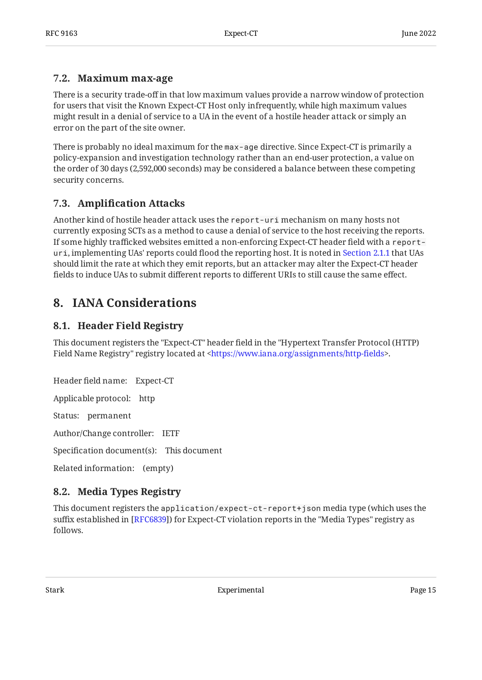### <span id="page-14-0"></span>**[7.2. Maximum max-age](#page-14-0)**

There is a security trade-off in that low maximum values provide a narrow window of protection for users that visit the Known Expect-CT Host only infrequently, while high maximum values might result in a denial of service to a UA in the event of a hostile header attack or simply an error on the part of the site owner.

There is probably no ideal maximum for the max-age directive. Since Expect-CT is primarily a policy-expansion and investigation technology rather than an end-user protection, a value on the order of 30 days (2,592,000 seconds) may be considered a balance between these competing security concerns.

## <span id="page-14-1"></span>**[7.3. A](#page-14-1)mplifi[cation Attacks](#page-14-1)**

Another kind of hostile header attack uses the report-uri mechanism on many hosts not currently exposing SCTs as a method to cause a denial of service to the host receiving the reports. If some highly trafficked websites emitted a non-enforcing Expect-CT header field with a reporturi, implementing UAs' reports could flood the reporting host. It is noted in [Section 2.1.1](#page-4-2) that UAs should limit the rate at which they emit reports, but an attacker may alter the Expect-CT header fields to induce UAs to submit different reports to different URIs to still cause the same effect.

## <span id="page-14-3"></span><span id="page-14-2"></span>**[8. IANA Considerations](#page-14-2)**

## **[8.1. Header Field Registry](#page-14-3)**

This document registers the "Expect-CT" header field in the "Hypertext Transfer Protocol (HTTP) Field Name Registry" registry located at <https://www.iana.org/assignments/http-fields>.

Header field name: Expect-CT Applicable protocol: http Status: permanent Author/Change controller: IETF Specification document(s): This document Related information: (empty)

# <span id="page-14-4"></span>**[8.2. Media Types Registry](#page-14-4)**

This document registers the application/expect-ct-report+json media type (which uses the suffix established in [RFC6839]) for Expect-CT violation reports in the "Media Types" registry as follows.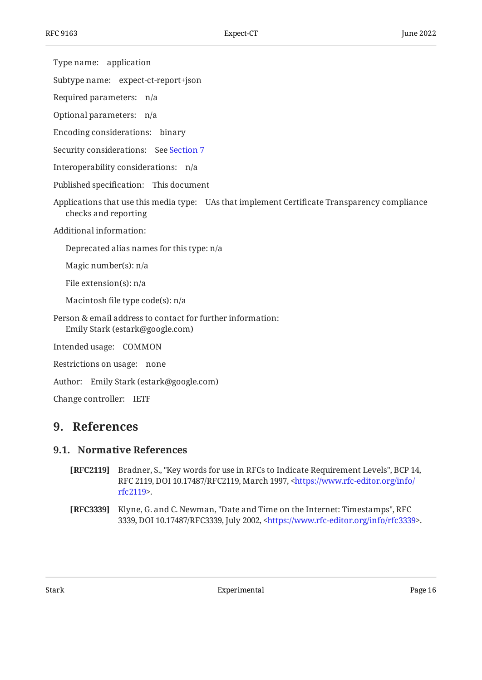Type name: application

Subtype name: expect-ct-report+json

Required parameters: n/a

Optional parameters: n/a

Encoding considerations: binary

Security considerations: See [Section 7](#page-13-1)

Interoperability considerations: n/a

Published specification: This document

Applications that use this media type: UAs that implement Certificate Transparency compliance checks and reporting

Additional information:

Deprecated alias names for this type: n/a

Magic number(s): n/a

File extension(s): n/a

Macintosh file type code(s): n/a

Person & email address to contact for further information: Emily Stark (estark@google.com)

Intended usage: COMMON

Restrictions on usage: none

Author: Emily Stark (estark@google.com)

<span id="page-15-0"></span>Change controller: IETF

## <span id="page-15-1"></span>**[9. References](#page-15-0)**

#### **[9.1. Normative References](#page-15-1)**

- <span id="page-15-2"></span>**[RFC2119]** Bradner, S., "Key words for use in RFCs to Indicate Requirement Levels", BCP 14, RFC 2119, DOI 10.17487/RFC2119, March 1997, [<https://www.rfc-editor.org/info/](https://www.rfc-editor.org/info/rfc2119) . [rfc2119](https://www.rfc-editor.org/info/rfc2119)>
- <span id="page-15-3"></span>**[RFC3339]** Klyne, G. and C. Newman, "Date and Time on the Internet: Timestamps", RFC 3339, DOI 10.17487/RFC3339, July 2002, <https://www.rfc-editor.org/info/rfc3339>.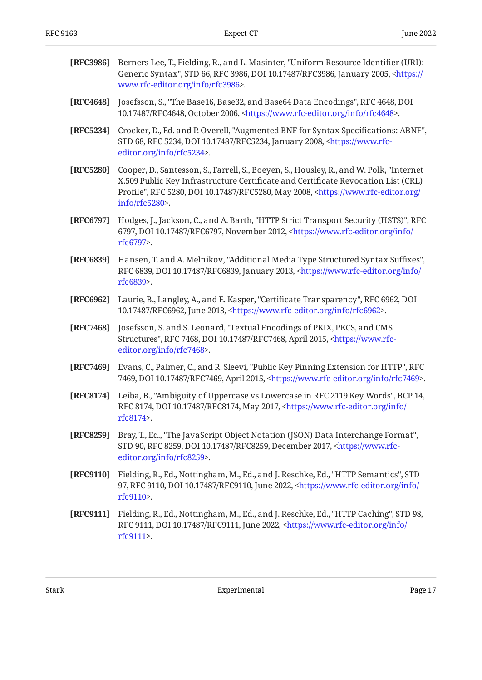<span id="page-16-12"></span><span id="page-16-11"></span><span id="page-16-10"></span><span id="page-16-9"></span><span id="page-16-8"></span><span id="page-16-7"></span><span id="page-16-6"></span><span id="page-16-5"></span><span id="page-16-4"></span><span id="page-16-3"></span><span id="page-16-2"></span><span id="page-16-1"></span><span id="page-16-0"></span>

| [RFC3986] | Berners-Lee, T., Fielding, R., and L. Masinter, "Uniform Resource Identifier (URI):<br>Generic Syntax", STD 66, RFC 3986, DOI 10.17487/RFC3986, January 2005, <https: <br="">www.rfc-editor.org/info/rfc3986&gt;.</https:>                                                                          |
|-----------|-----------------------------------------------------------------------------------------------------------------------------------------------------------------------------------------------------------------------------------------------------------------------------------------------------|
| [RFC4648] | Josefsson, S., "The Base16, Base32, and Base64 Data Encodings", RFC 4648, DOI<br>10.17487/RFC4648, October 2006, <https: info="" rfc4648="" www.rfc-editor.org="">.</https:>                                                                                                                        |
| [RFC5234] | Crocker, D., Ed. and P. Overell, "Augmented BNF for Syntax Specifications: ABNF",<br>STD 68, RFC 5234, DOI 10.17487/RFC5234, January 2008, <https: www.rfc-<br="">editor.org/info/rfc5234&gt;.</https:>                                                                                             |
| [RFC5280] | Cooper, D., Santesson, S., Farrell, S., Boeyen, S., Housley, R., and W. Polk, "Internet<br>X.509 Public Key Infrastructure Certificate and Certificate Revocation List (CRL)<br>Profile", RFC 5280, DOI 10.17487/RFC5280, May 2008, <https: <br="" www.rfc-editor.org="">info/rfc5280&gt;.</https:> |
| [RFC6797] | Hodges, J., Jackson, C., and A. Barth, "HTTP Strict Transport Security (HSTS)", RFC<br>6797, DOI 10.17487/RFC6797, November 2012, <https: <br="" info="" www.rfc-editor.org="">rfc6797&gt;.</https:>                                                                                                |
| [RFC6839] | Hansen, T. and A. Melnikov, "Additional Media Type Structured Syntax Suffixes",<br>RFC 6839, DOI 10.17487/RFC6839, January 2013, <https: <br="" info="" www.rfc-editor.org="">rfc6839&gt;.</https:>                                                                                                 |
| [RFC6962] | Laurie, B., Langley, A., and E. Kasper, "Certificate Transparency", RFC 6962, DOI<br>10.17487/RFC6962, June 2013, <https: info="" rfc6962="" www.rfc-editor.org="">.</https:>                                                                                                                       |
| [RFC7468] | Josefsson, S. and S. Leonard, "Textual Encodings of PKIX, PKCS, and CMS<br>Structures", RFC 7468, DOI 10.17487/RFC7468, April 2015, <https: www.rfc-<br="">editor.org/info/rfc7468&gt;.</https:>                                                                                                    |
| [RFC7469] | Evans, C., Palmer, C., and R. Sleevi, "Public Key Pinning Extension for HTTP", RFC<br>7469, DOI 10.17487/RFC7469, April 2015, <https: info="" rfc7469="" www.rfc-editor.org="">.</https:>                                                                                                           |
| [RFC8174] | Leiba, B., "Ambiguity of Uppercase vs Lowercase in RFC 2119 Key Words", BCP 14,<br>RFC 8174, DOI 10.17487/RFC8174, May 2017, <https: <br="" info="" www.rfc-editor.org="">rfc8174&gt;.</https:>                                                                                                     |
| [RFC8259] | Bray, T., Ed., "The JavaScript Object Notation (JSON) Data Interchange Format",<br>STD 90, RFC 8259, DOI 10.17487/RFC8259, December 2017, <https: www.rfc-<br="">editor.org/info/rfc8259&gt;.</https:>                                                                                              |
| [RFC9110] | Fielding, R., Ed., Nottingham, M., Ed., and J. Reschke, Ed., "HTTP Semantics", STD<br>97, RFC 9110, DOI 10.17487/RFC9110, June 2022, <https: <br="" info="" www.rfc-editor.org="">rfc9110&gt;.</https:>                                                                                             |
| [RFC9111] | Fielding, R., Ed., Nottingham, M., Ed., and J. Reschke, Ed., "HTTP Caching", STD 98,<br>RFC 9111, DOI 10.17487/RFC9111, June 2022, <https: <br="" info="" www.rfc-editor.org="">rfc9111&gt;.</https:>                                                                                               |
|           |                                                                                                                                                                                                                                                                                                     |